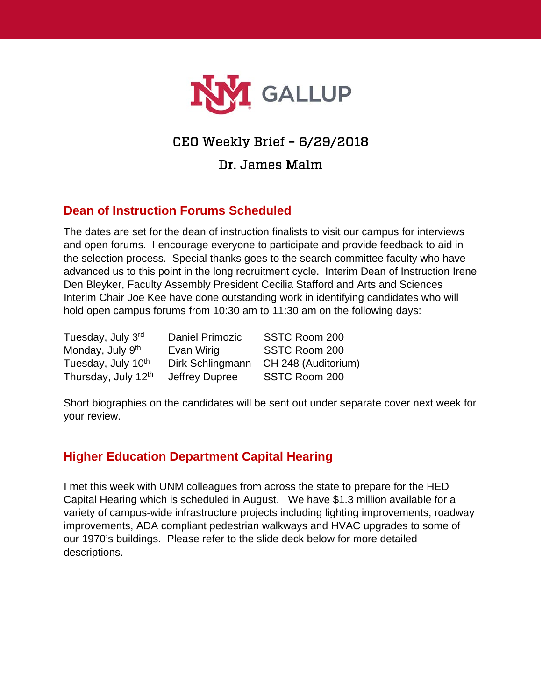

# CEO Weekly Brief – 6/29/2018

### Dr. James Malm

#### **Dean of Instruction Forums Scheduled**

The dates are set for the dean of instruction finalists to visit our campus for interviews and open forums. I encourage everyone to participate and provide feedback to aid in the selection process. Special thanks goes to the search committee faculty who have advanced us to this point in the long recruitment cycle. Interim Dean of Instruction Irene Den Bleyker, Faculty Assembly President Cecilia Stafford and Arts and Sciences Interim Chair Joe Kee have done outstanding work in identifying candidates who will hold open campus forums from 10:30 am to 11:30 am on the following days:

Tuesday, July 3rd Daniel Primozic SSTC Room 200 Monday, July 9<sup>th</sup> Evan Wirig SSTC Room 200 Thursday, July 12<sup>th</sup> Jeffrey Dupree SSTC Room 200

Tuesday, July 10<sup>th</sup> Dirk Schlingmann CH 248 (Auditorium)

Short biographies on the candidates will be sent out under separate cover next week for your review.

#### **Higher Education Department Capital Hearing**

I met this week with UNM colleagues from across the state to prepare for the HED Capital Hearing which is scheduled in August. We have \$1.3 million available for a variety of campus-wide infrastructure projects including lighting improvements, roadway improvements, ADA compliant pedestrian walkways and HVAC upgrades to some of our 1970's buildings. Please refer to the slide deck below for more detailed descriptions.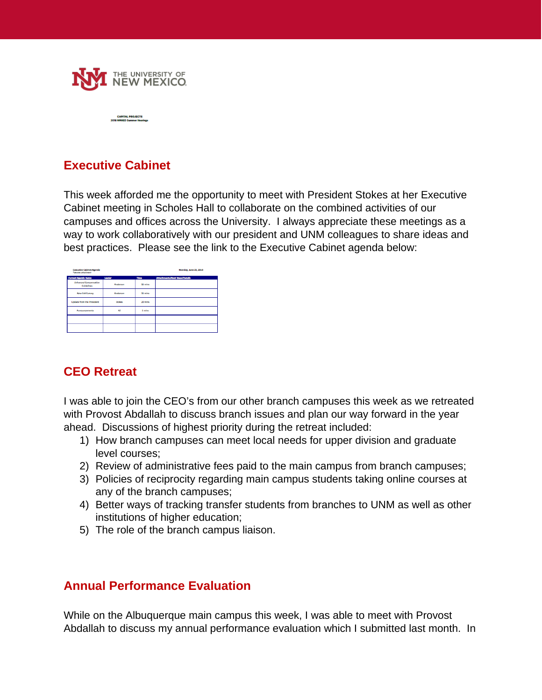

#### **Executive Cabinet**

This week afforded me the opportunity to meet with President Stokes at her Executive Cabinet meeting in Scholes Hall to collaborate on the combined activities of our campuses and offices across the University. I always appreciate these meetings as a way to work collaboratively with our president and UNM colleagues to share ideas and best practices. Please see the link to the Executive Cabinet agenda below:

| <b>Executive Cabinet Agenda</b><br>*denotes attachment |          |         | Monday, June 25, 2018                 |
|--------------------------------------------------------|----------|---------|---------------------------------------|
| <b>Current Agenda Items</b>                            | Leader   | Time    | <b>Attachments/Next Steps/Details</b> |
| <b>Enhanced Compensation</b><br>Guidelines             | Arderson | 15 mins |                                       |
| New Exit Survey                                        | Arderson | 15 mins |                                       |
| <b>Undate from the President</b>                       | Stokes   | 20 mins |                                       |
| <b>Announcements</b>                                   | All      | 5 mins  |                                       |
|                                                        |          |         |                                       |
|                                                        |          |         |                                       |

#### **CEO Retreat**

I was able to join the CEO's from our other branch campuses this week as we retreated with Provost Abdallah to discuss branch issues and plan our way forward in the year ahead. Discussions of highest priority during the retreat included:

- 1) How branch campuses can meet local needs for upper division and graduate level courses;
- 2) Review of administrative fees paid to the main campus from branch campuses;
- 3) Policies of reciprocity regarding main campus students taking online courses at any of the branch campuses;
- 4) Better ways of tracking transfer students from branches to UNM as well as other institutions of higher education;
- 5) The role of the branch campus liaison.

#### **Annual Performance Evaluation**

While on the Albuquerque main campus this week, I was able to meet with Provost Abdallah to discuss my annual performance evaluation which I submitted last month. In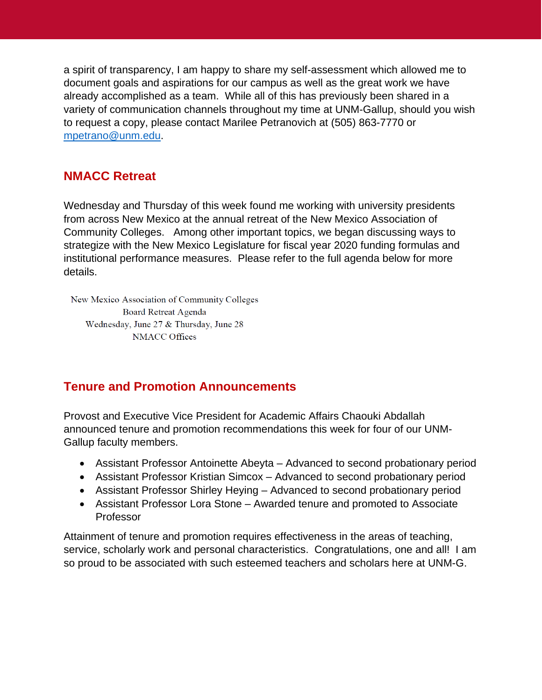a spirit of transparency, I am happy to share my self-assessment which allowed me to document goals and aspirations for our campus as well as the great work we have already accomplished as a team. While all of this has previously been shared in a variety of communication channels throughout my time at UNM-Gallup, should you wish to request a copy, please contact Marilee Petranovich at (505) 863-7770 or [mpetrano@unm.edu.](mailto:mpetrano@unm.edu)

### **NMACC Retreat**

Wednesday and Thursday of this week found me working with university presidents from across New Mexico at the annual retreat of the New Mexico Association of Community Colleges. Among other important topics, we began discussing ways to strategize with the New Mexico Legislature for fiscal year 2020 funding formulas and institutional performance measures. Please refer to the full agenda below for more details.

New Mexico Association of Community Colleges Board Retreat Agenda Wednesday, June 27 & Thursday, June 28 **NMACC Offices** 

## **Tenure and Promotion Announcements**

Provost and Executive Vice President for Academic Affairs Chaouki Abdallah announced tenure and promotion recommendations this week for four of our UNM-Gallup faculty members.

- Assistant Professor Antoinette Abeyta Advanced to second probationary period
- Assistant Professor Kristian Simcox Advanced to second probationary period
- Assistant Professor Shirley Heying Advanced to second probationary period
- Assistant Professor Lora Stone Awarded tenure and promoted to Associate Professor

Attainment of tenure and promotion requires effectiveness in the areas of teaching, service, scholarly work and personal characteristics. Congratulations, one and all! I am so proud to be associated with such esteemed teachers and scholars here at UNM-G.